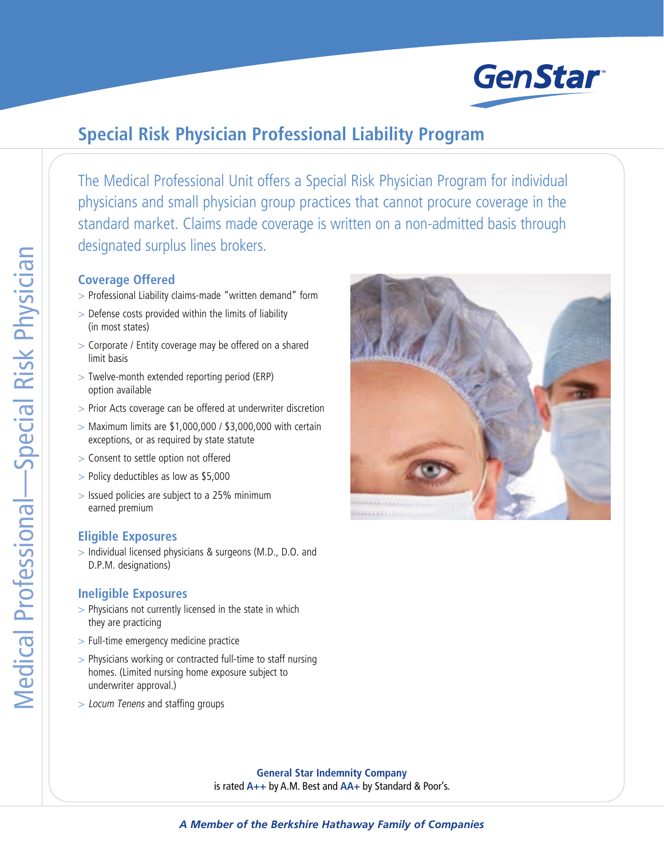

## **Special Risk Physician Professional Liability Program**

The Medical Professional Unit offers a Special Risk Physician Program for individual physicians and small physician group practices that cannot procure coverage in the standard market. Claims made coverage is written on a non-admitted basis through designated surplus lines brokers.

## **Coverage Offered**

- > Professional Liability claims-made "written demand" form
- > Defense costs provided within the limits of liability (in most states)
- > Corporate / Entity coverage may be offered on a shared limit basis
- > Twelve-month extended reporting period (ERP) option available
- > Prior Acts coverage can be offered at underwriter discretion
- $>$  Maximum limits are \$1,000,000 / \$3,000,000 with certain exceptions, or as required by state statute
- > Consent to settle option not offered
- > Policy deductibles as low as \$5,000
- > Issued policies are subject to a 25% minimum earned premium

## **Eligible Exposures**

> Individual licensed physicians & surgeons (M.D., D.O. and D.P.M. designations)

## **Ineligible Exposures**

- > Physicians not currently licensed in the state in which they are practicing
- > Full-time emergency medicine practice
- > Physicians working or contracted full-time to staff nursing homes. (Limited nursing home exposure subject to underwriter approval.)
- > Locum Tenens and staffing groups



**General Star Indemnity Company** is rated **A++** by A.M. Best and **AA+** by Standard & Poor's.

*A Member of the Berkshire Hathaway Family of Companies*